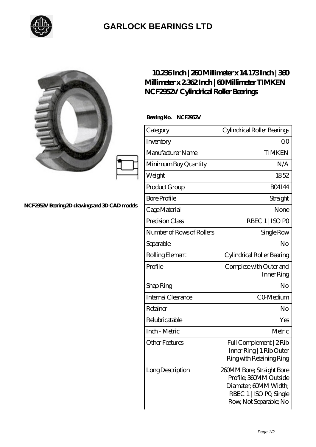

## **[GARLOCK BEARINGS LTD](https://m.letterstopriests.com)**

|                                                | $10236$ Inch   $230$ Millimeter x 14 173 Inch   $330$<br>Millimeter x 2362Inch   60Millimeter TIMKEN<br>NCF2952V Cylindrical Roller Bearings |                                                                                                                                   |
|------------------------------------------------|----------------------------------------------------------------------------------------------------------------------------------------------|-----------------------------------------------------------------------------------------------------------------------------------|
|                                                | Bearing No. NCF2952V                                                                                                                         |                                                                                                                                   |
| NCF2952V Bearing 2D drawings and 3D CAD models | Category                                                                                                                                     | Cylindrical Roller Bearings                                                                                                       |
|                                                | Inventory                                                                                                                                    | 0 <sup>0</sup>                                                                                                                    |
|                                                | Manufacturer Name                                                                                                                            | <b>TIMKEN</b>                                                                                                                     |
|                                                | Minimum Buy Quantity                                                                                                                         | N/A                                                                                                                               |
|                                                | Weight                                                                                                                                       | 1852                                                                                                                              |
|                                                | Product Group                                                                                                                                | <b>BO4144</b>                                                                                                                     |
|                                                | <b>Bore Profile</b>                                                                                                                          | Straight                                                                                                                          |
|                                                | Cage Material                                                                                                                                | None                                                                                                                              |
|                                                | Precision Class                                                                                                                              | RBEC 1   ISO PO                                                                                                                   |
|                                                | Number of Rows of Rollers                                                                                                                    | Single Row                                                                                                                        |
|                                                | Separable                                                                                                                                    | N <sub>o</sub>                                                                                                                    |
|                                                | Rolling Element                                                                                                                              | Cylindrical Roller Bearing                                                                                                        |
|                                                | Profile                                                                                                                                      | Complete with Outer and<br>Inner Ring                                                                                             |
|                                                | Snap Ring                                                                                                                                    | No                                                                                                                                |
|                                                | Internal Clearance                                                                                                                           | CO <sub>Medium</sub>                                                                                                              |
|                                                | Retainer                                                                                                                                     | No                                                                                                                                |
|                                                | Relubricatable                                                                                                                               | Yes                                                                                                                               |
|                                                | Inch - Metric                                                                                                                                | Metric                                                                                                                            |
|                                                | <b>Other Features</b>                                                                                                                        | Full Complement   2Rib<br>Inner Ring   1 Rib Outer<br>Ring with Retaining Ring                                                    |
|                                                | Long Description                                                                                                                             | 260MM Bore; Straight Bore<br>Profile; 360MM Outside<br>Diameter; 60MM Width;<br>RBEC 1   ISO PO, Single<br>Row, Not Separable; No |